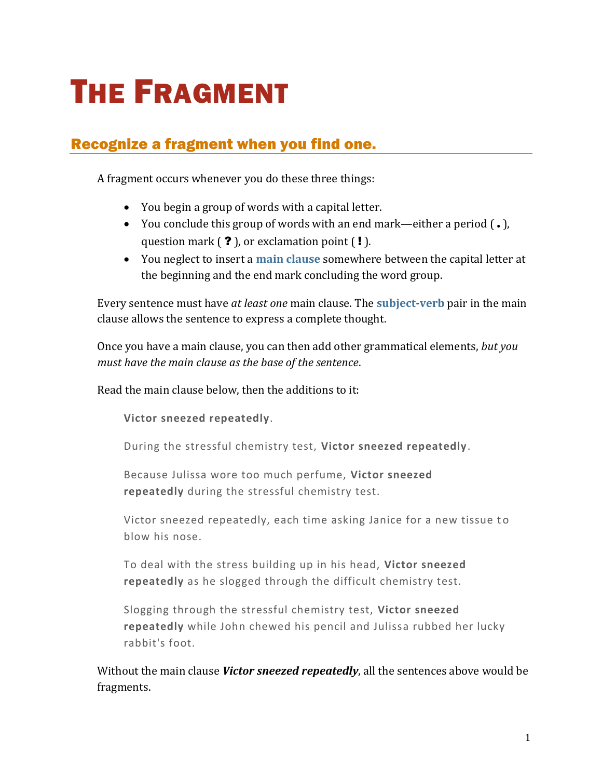# THE FRAGMENT

## Recognize a fragment when you find one.

A fragment occurs whenever you do these three things:

- You begin a group of words with a capital letter.
- You conclude this group of words with an end mark—either a period ( **.** ), question mark  $( ? )$ , or exclamation point  $( ! )$ .
- You neglect to insert a **[main clause](https://chompchomp.com/terms/mainclause.htm)** somewhere between the capital letter at the beginning and the end mark concluding the word group.

Every sentence must have *at least one* main clause. The **[subject](https://chompchomp.com/terms/subject.htm)**-**[verb](https://chompchomp.com/terms/verb.htm)** pair in the main clause allows the sentence to express a complete thought.

Once you have a main clause, you can then add other grammatical elements, *but you must have the main clause as the base of the sentence*.

Read the main clause below, then the additions to it:

**Victor sneezed repeatedly**.

During the stressful chemistry test, **Victor sneezed repeatedly**.

Because Julissa wore too much perfume, **Victor sneezed repeatedly** during the stressful chemistry test.

Victor sneezed repeatedly, each time asking Janice for a new tissue to blow his nose.

To deal with the stress building up in his head, **Victor sneezed repeatedly** as he slogged through the difficult chemistry test.

Slogging through the stressful chemistry test, **Victor sneezed repeatedly** while John chewed his pencil and Julissa rubbed her lucky rabbit's foot.

Without the main clause *Victor sneezed repeatedly*, all the sentences above would be fragments.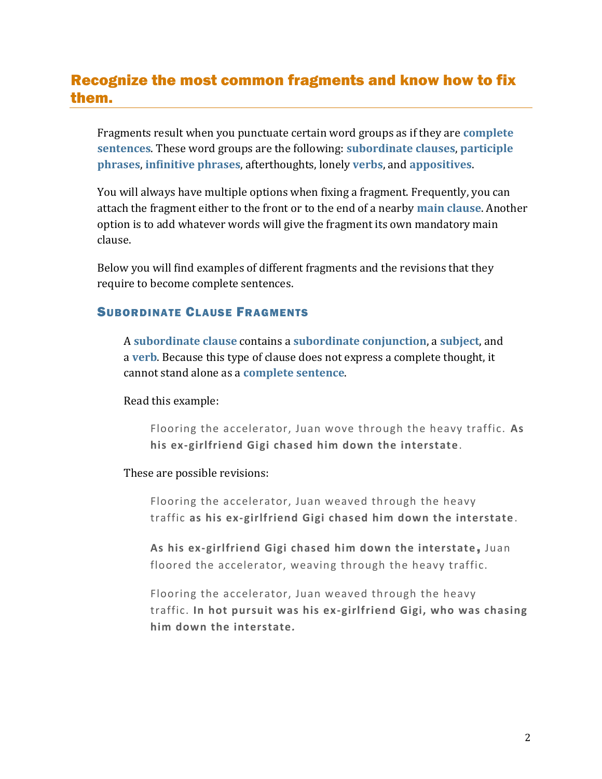## Recognize the most common fragments and know how to fix them.

Fragments result when you punctuate certain word groups as if they are **[complete](https://chompchomp.com/terms/completesentence.htm)  [sentences](https://chompchomp.com/terms/completesentence.htm)**. These word groups are the following: **[subordinate clauses](https://chompchomp.com/terms/subordinateclause.htm)**, **[participle](https://chompchomp.com/terms/participlephrase.htm)  [phrases](https://chompchomp.com/terms/participlephrase.htm)**, **[infinitive phrases](https://chompchomp.com/terms/infinitivephrase.htm)**, afterthoughts, lonely **[verbs](https://chompchomp.com/terms/verb.htm)**, and **[appositives](https://chompchomp.com/terms/appositive.htm)**.

You will always have multiple options when fixing a fragment. Frequently, you can attach the fragment either to the front or to the end of a nearby **[main clause](https://chompchomp.com/terms/mainclause.htm)**. Another option is to add whatever words will give the fragment its own mandatory main clause.

Below you will find examples of different fragments and the revisions that they require to become complete sentences.

#### SUBORDINATE CLAUSE FRAGMENTS

A **[subordinate clause](https://chompchomp.com/terms/subordinateclause.htm)** contains a **[subordinate conjunction](https://chompchomp.com/terms/subordinateconjunction.htm)**, a **[subject](https://chompchomp.com/terms/subject.htm)**, and a **[verb](https://chompchomp.com/terms/verb.htm)**. Because this type of clause does not express a complete thought, it cannot stand alone as a **[complete sentence](https://chompchomp.com/terms/completesentence.htm)**.

Read this example:

Flooring the accelerator, Juan wove through the heavy traffic. **As his ex-girlfriend Gigi chased him down the interstate**.

These are possible revisions:

Flooring the accelerator, Juan weaved through the heavy traffic **as his ex-girlfriend Gigi chased him down the interstate** .

**As his ex-girlfriend Gigi chased him down the interstate** , Juan floored the accelerator, weaving through the heavy traffic.

Flooring the accelerator, Juan weaved through the heavy traffic. **In hot pursuit was his ex-girlfriend Gigi, who was chasing him down the interstate***.*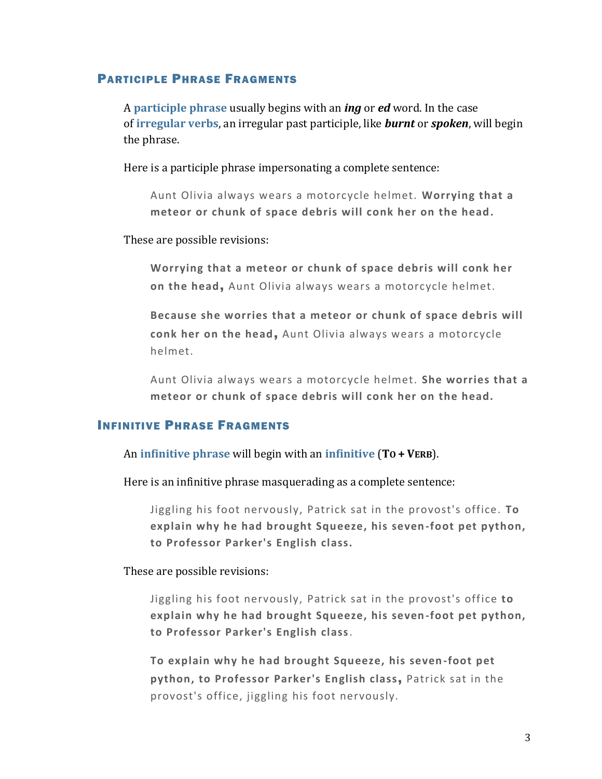#### PARTICIPLE PHRASE FRAGMENTS

A **[participle phrase](https://chompchomp.com/terms/participlephrase.htm)** usually begins with an *ing* or *ed* word. In the case of **[irregular verbs](https://chompchomp.com/rules/irregularrules01.htm)**, an irregular past participle, like *burnt* or *spoken*, will begin the phrase.

Here is a participle phrase impersonating a complete sentence:

Aunt Olivia always wears a motorcycle helmet. **Worrying that a**  meteor or chunk of space debris will conk her on the head.

These are possible revisions:

**Worrying that a meteor or chunk of space debris will conk her on the head**, Aunt Olivia always wears a motorcycle helmet.

**Because she worries that a meteor or chunk of space debris will conk her on the head**, Aunt Olivia always wears a motorcycle helmet.

Aunt Olivia always wears a motorcycle helmet. **She worries that a meteor or chunk of space debris will conk her on the head.**

#### INFINITIVE PHRASE FRAGMENTS

An **[infinitive phrase](https://chompchomp.com/terms/infinitivephrase.htm)** will begin with an **[infinitive](https://chompchomp.com/terms/infinitive.htm)** (**TO + VERB**).

Here is an infinitive phrase masquerading as a complete sentence:

Jiggling his foot nervously, Patrick sat in the provost's office. **To explain why he had brought Squeeze, his seven-foot pet python, to Professor Parker's English class.**

These are possible revisions:

Jiggling his foot nervously, Patrick sat in the provost's office **to explain why he had brought Squeeze, his seven-foot pet python, to Professor Parker's English class**.

**To explain why he had brought Squeeze, his seven-foot pet python, to Professor Parker's English class**, Patrick sat in the provost's office, jiggling his foot nervously.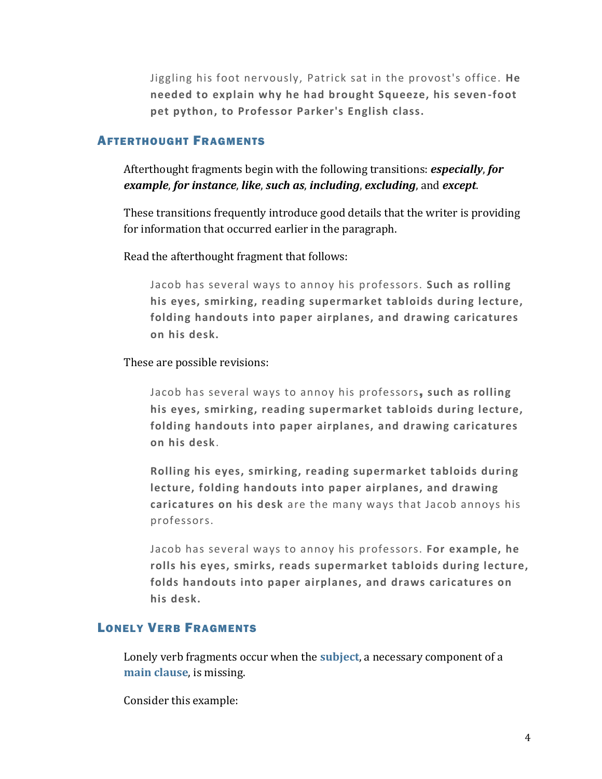Jiggling his foot nervously, Patrick sat in the provost's office. **He needed to explain why he had brought Squeeze, his seven -foot pet python, to Professor Parker's English class.**

#### AFTERTHOUGHT FRAGMENTS

Afterthought fragments begin with the following transitions: *especially*, *for example*, *for instance*, *like*, *such as*, *including*, *excluding*, and *except*.

These transitions frequently introduce good details that the writer is providing for information that occurred earlier in the paragraph.

Read the afterthought fragment that follows:

Jacob has several ways to annoy his professors. **Such as rolling his eyes, smirking, reading supermarket tabloids during lecture, folding handouts into paper airplanes, and drawing caricatures on his desk.**

These are possible revisions:

Jacob has several ways to annoy his professors, **such as rolling his eyes, smirking, reading supermarket tabloids during lecture, folding handouts into paper airplanes, and drawing caricatures on his desk**.

**Rolling his eyes, smirking, reading supermarket tabloids during lecture, folding handouts into paper airplanes, and drawing caricatures on his desk** are the many ways that Jacob annoys his professors.

Jacob has several ways to annoy his professors. **For example, he rolls his eyes, smirks, reads supermarket tabloids during lecture, folds handouts into paper airplanes, and draws caricatures on his desk.**

#### LONELY VERB FRAGMENTS

Lonely verb fragments occur when the **[subject](https://chompchomp.com/terms/subject.htm)**, a necessary component of a **[main clause](https://chompchomp.com/terms/mainclause.htm)**, is missing.

Consider this example: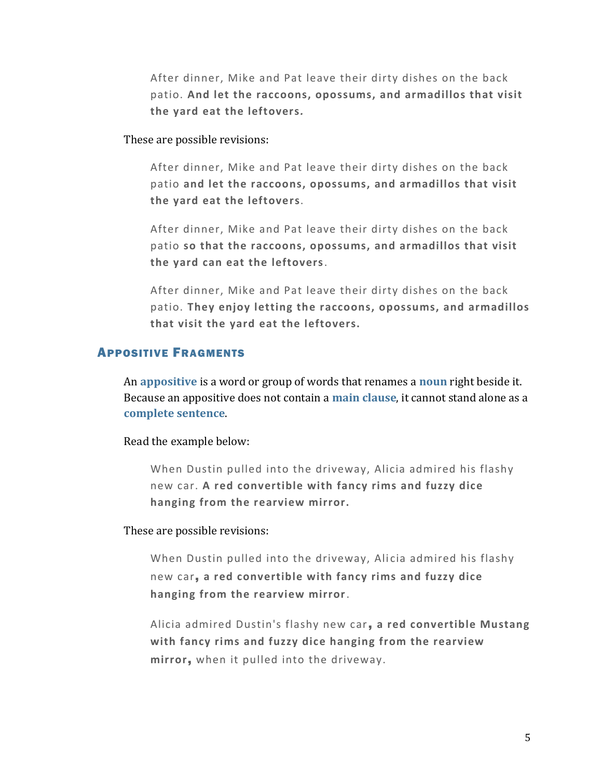After dinner, Mike and Pat leave their dirty dishes on the back patio. **And let the raccoons, opossums, and armadillos that visit the yard eat the leftovers***.*

These are possible revisions:

After dinner, Mike and Pat leave their dirty dishes on the back patio **and let the raccoons, opossums, and armadillos that visit the yard eat the leftovers**.

After dinner, Mike and Pat leave their dirty dishes on the back patio **so that the raccoons, opossums, and armadillos that visit the yard can eat the leftovers**.

After dinner, Mike and Pat leave their dirty dishes on the back patio. **They enjoy letting the raccoons, opossums, and armadillos that visit the yard eat the leftovers.**

#### APPOSITIVE FRAGMENTS

An **[appositive](https://chompchomp.com/terms/appositive.htm)** is a word or group of words that renames a **[noun](https://chompchomp.com/terms/noun.htm)** right beside it. Because an appositive does not contain a **[main clause](https://chompchomp.com/terms/mainclause.htm)**, it cannot stand alone as a **[complete sentence](https://chompchomp.com/terms/completesentence.htm)**.

Read the example below:

When Dustin pulled into the driveway, Alicia admired his flashy new car. **A red convertible with fancy rims and fuzzy dice hanging from the rearview mirror.**

These are possible revisions:

When Dustin pulled into the driveway, Alicia admired his flashy new car, **a red convertible with fancy rims and fuzzy dice hanging from the rearview mirror**.

Alicia admired Dustin's flashy new car, **a red convertible Mustang with fancy rims and fuzzy dice hanging from the rearview mirror**, when it pulled into the driveway.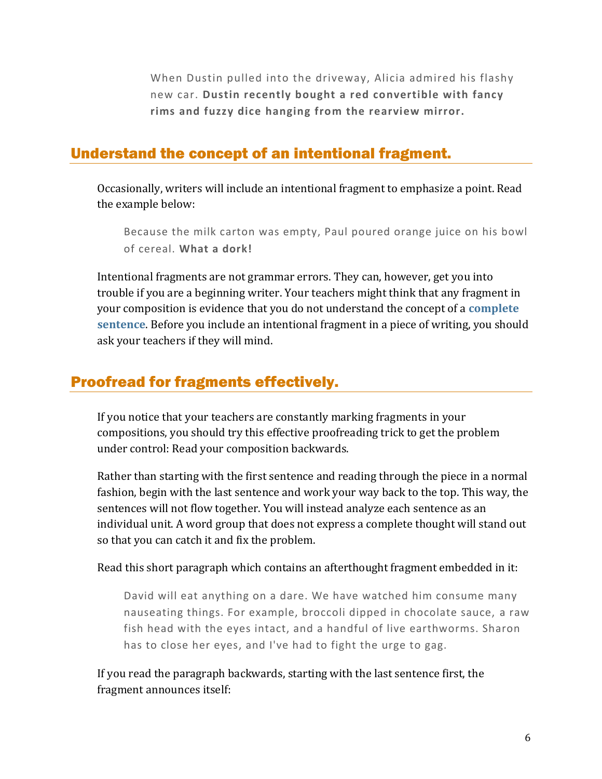When Dustin pulled into the driveway, Alicia admired his flashy new car. **Dustin recently bought a red convertible with fancy rims and fuzzy dice hanging from the rearview mirror.**

### Understand the concept of an intentional fragment.

Occasionally, writers will include an intentional fragment to emphasize a point. Read the example below:

Because the milk carton was empty, Paul poured orange juice on his bowl of cereal. **What a dork!**

Intentional fragments are not grammar errors. They can, however, get you into trouble if you are a beginning writer. Your teachers might think that any fragment in your composition is evidence that you do not understand the concept of a **[complete](https://chompchomp.com/terms/completesentence.htm)  [sentence](https://chompchomp.com/terms/completesentence.htm)**. Before you include an intentional fragment in a piece of writing, you should ask your teachers if they will mind.

## Proofread for fragments effectively.

If you notice that your teachers are constantly marking fragments in your compositions, you should try this effective proofreading trick to get the problem under control: Read your composition backwards.

Rather than starting with the first sentence and reading through the piece in a normal fashion, begin with the last sentence and work your way back to the top. This way, the sentences will not flow together. You will instead analyze each sentence as an individual unit. A word group that does not express a complete thought will stand out so that you can catch it and fix the problem.

Read this short paragraph which contains an afterthought fragment embedded in it:

David will eat anything on a dare. We have watched him consume many nauseating things. For example, broccoli dipped in chocolate sauce, a raw fish head with the eyes intact, and a handful of live earthworms. Sharon has to close her eyes, and I've had to fight the urge to gag.

If you read the paragraph backwards, starting with the last sentence first, the fragment announces itself: